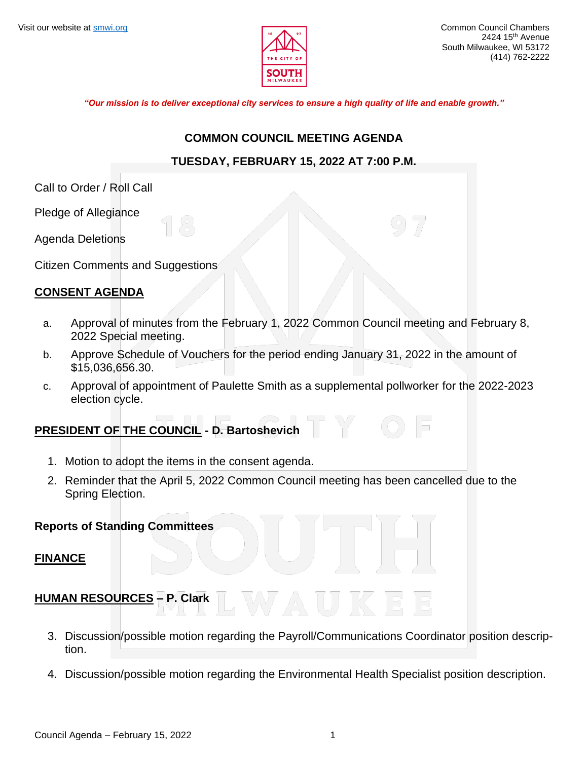

*"Our mission is to deliver exceptional city services to ensure a high quality of life and enable growth."*

#### **COMMON COUNCIL MEETING AGENDA**

## **TUESDAY, FEBRUARY 15, 2022 AT 7:00 P.M.**

Call to Order / Roll Call

Pledge of Allegiance

Agenda Deletions

Citizen Comments and Suggestions

## **CONSENT AGENDA**

- a. Approval of minutes from the February 1, 2022 Common Council meeting and February 8, 2022 Special meeting.
- b. Approve Schedule of Vouchers for the period ending January 31, 2022 in the amount of \$15,036,656.30.
- c. Approval of appointment of Paulette Smith as a supplemental pollworker for the 2022-2023 election cycle.

## **PRESIDENT OF THE COUNCIL - D. Bartoshevich**

- 1. Motion to adopt the items in the consent agenda.
- 2. Reminder that the April 5, 2022 Common Council meeting has been cancelled due to the Spring Election.

## **Reports of Standing Committees**

## **FINANCE**

## **HUMAN RESOURCES – P. Clark**

- 3. Discussion/possible motion regarding the Payroll/Communications Coordinator position description.
- 4. Discussion/possible motion regarding the Environmental Health Specialist position description.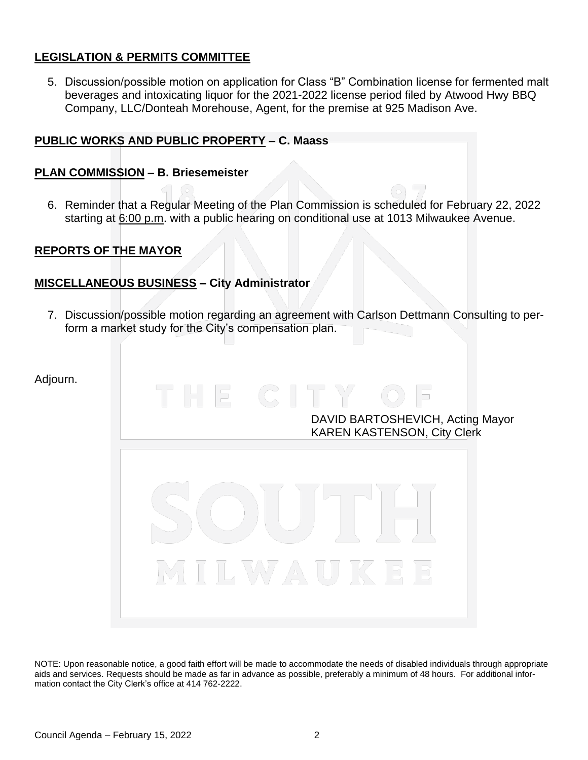## **LEGISLATION & PERMITS COMMITTEE**

5. Discussion/possible motion on application for Class "B" Combination license for fermented malt beverages and intoxicating liquor for the 2021-2022 license period filed by Atwood Hwy BBQ Company, LLC/Donteah Morehouse, Agent, for the premise at 925 Madison Ave.

## **PUBLIC WORKS AND PUBLIC PROPERTY – C. Maass**

#### **PLAN COMMISSION – B. Briesemeister**

6. Reminder that a Regular Meeting of the Plan Commission is scheduled for February 22, 2022 starting at 6:00 p.m. with a public hearing on conditional use at 1013 Milwaukee Avenue.

## **REPORTS OF THE MAYOR**

## **MISCELLANEOUS BUSINESS – City Administrator**

7. Discussion/possible motion regarding an agreement with Carlson Dettmann Consulting to perform a market study for the City's compensation plan.

Adjourn.

DAVID BARTOSHEVICH, Acting Mayor KAREN KASTENSON, City Clerk



NOTE: Upon reasonable notice, a good faith effort will be made to accommodate the needs of disabled individuals through appropriate aids and services. Requests should be made as far in advance as possible, preferably a minimum of 48 hours. For additional information contact the City Clerk's office at 414 762-2222.